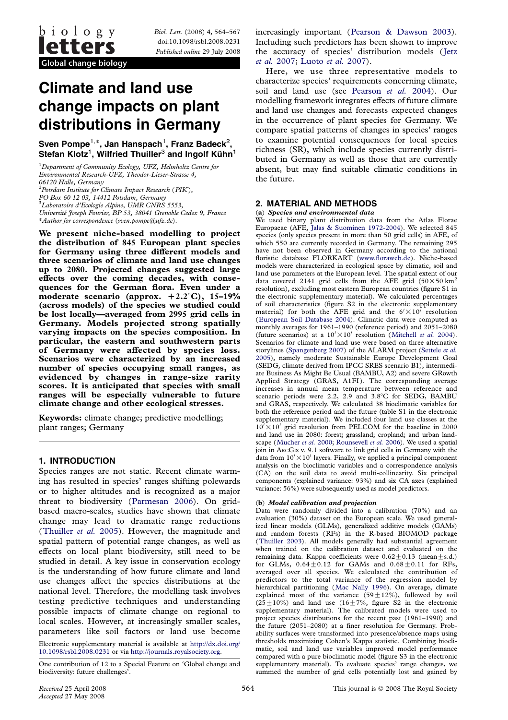Biol. Lett. (2008) 4, 564–567 doi:10.1098/rsbl.2008.0231 Published online 29 July 2008

# Climate and land use change impacts on plant distributions in Germany

Sven Pompe $^{1,\ast},$  Jan Hanspach $^1$ , Franz Badeck $^2$ , Stefan Klotz<sup>1</sup>, Wilfried Thuiller<sup>3</sup> and Ingolf Kühn<sup>1</sup>

<sup>1</sup>Department of Community Ecology, UFZ, Helmholtz Centre for Environmental Research-UFZ, Theodor-Lieser-Strasse 4, 06120 Halle, Germany

 $^{2}$ Potsdam Institute for Climate Impact Research (PIK),

PO Box 60 12 03, 14412 Potsdam, Germany

3 Laboratoire d'Ecologie Alpine, UMR CNRS 5553,

Université Joseph Fourier, BP 53, 38041 Grenoble Cedex 9, France \*Author for correspondence (sven.pompe@ufz.de).

We present niche-based modelling to project the distribution of 845 European plant species for Germany using three different models and three scenarios of climate and land use changes up to 2080. Projected changes suggested large effects over the coming decades, with consequences for the German flora. Even under a moderate scenario (approx.  $+2.2^{\circ}$ C), 15–19% (across models) of the species we studied could be lost locally—averaged from 2995 grid cells in Germany. Models projected strong spatially varying impacts on the species composition. In particular, the eastern and southwestern parts of Germany were affected by species loss. Scenarios were characterized by an increased number of species occupying small ranges, as evidenced by changes in range-size rarity scores. It is anticipated that species with small ranges will be especially vulnerable to future climate change and other ecological stresses.

Keywords: climate change; predictive modelling; plant ranges; Germany

## 1. INTRODUCTION

Species ranges are not static. Recent climate warming has resulted in species' ranges shifting polewards or to higher altitudes and is recognized as a major threat to biodiversity ([Parmesan 2006](#page-2-0)). On gridbased macro-scales, studies have shown that climate change may lead to dramatic range reductions ([Thuiller](#page-3-0) et al. 2005). However, the magnitude and spatial pattern of potential range changes, as well as effects on local plant biodiversity, still need to be studied in detail. A key issue in conservation ecology is the understanding of how future climate and land use changes affect the species distributions at the national level. Therefore, the modelling task involves testing predictive techniques and understanding possible impacts of climate change on regional to local scales. However, at increasingly smaller scales, parameters like soil factors or land use become

Electronic supplementary material is available at [http://dx.doi.org/](http://dx.doi.org/10.1098/rsbl.2008.0231) [10.1098/rsbl.2008.0231](http://dx.doi.org/10.1098/rsbl.2008.0231) or via [http://journals.royalsociety.org.](http://journals.royalsociety.org)

increasingly important ([Pearson & Dawson 2003\)](#page-3-0). Including such predictors has been shown to improve the accuracy of species' distribution models ([Jetz](#page-2-0) et al. [2007;](#page-2-0) [Luoto](#page-2-0) et al. 2007).

Here, we use three representative models to characterize species' requirements concerning climate, soil and land use (see [Pearson](#page-3-0) et al. 2004). Our modelling framework integrates effects of future climate and land use changes and forecasts expected changes in the occurrence of plant species for Germany. We compare spatial patterns of changes in species' ranges to examine potential consequences for local species richness (SR), which include species currently distributed in Germany as well as those that are currently absent, but may find suitable climatic conditions in the future.

### 2. MATERIAL AND METHODS

#### (a) Species and environmental data

We used binary plant distribution data from the Atlas Florae Europaeae (AFE, [Jalas & Suominen 1972-2004](#page-2-0)). We selected 845 species (only species present in more than 50 grid cells) in AFE, of which 550 are currently recorded in Germany. The remaining 295 have not been observed in Germany according to the national floristic database FLORKART ([www.floraweb.de\)](http://www.floraweb.de). Niche-based models were characterized in ecological space by climatic, soil and land use parameters at the European level. The spatial extent of our data covered 2141 grid cells from the AFE grid  $(50 \times 50 \text{ km}^2)$ resolution), excluding most eastern European countries (figure S1 in the electronic supplementary material). We calculated percentages of soil characteristics (figure S2 in the electronic supplementary material) for both the AFE grid and the  $6' \times 10'$  resolution ([European Soil Database 2004](#page-2-0)). Climatic data were computed as monthly averages for 1961–1990 (reference period) and 2051–2080 (future scenarios) at a  $10' \times 10'$  resolution ([Mitchell](#page-2-0) et al. 2004). Scenarios for climate and land use were based on three alternative storylines ([Spangenberg 2007\)](#page-3-0) of the ALARM project [\(Settele](#page-3-0) et al. [2005\)](#page-3-0), namely moderate Sustainable Europe Development Goal (SEDG, climate derived from IPCC SRES scenario B1), intermediate Business As Might Be Usual (BAMBU, A2) and severe GRowth Applied Strategy (GRAS, A1FI). The corresponding average increases in annual mean temperature between reference and scenario periods were 2.2, 2.9 and 3.8°C for SEDG, BAMBU and GRAS, respectively. We calculated 38 bioclimatic variables for both the reference period and the future (table S1 in the electronic supplementary material). We included four land use classes at the  $10^{7} \times 10^{7}$  grid resolution from PELCOM for the baseline in 2000 and land use in 2080: forest; grassland; cropland; and urban land-scape ([Mucher](#page-2-0) et al. 2000; [Rounsevell](#page-3-0) et al. 2006). We used a spatial join in ARCGIS v. 9.1 software to link grid cells in Germany with the data from  $10' \times 10'$  layers. Finally, we applied a principal component analysis on the bioclimatic variables and a correspondence analysis (CA) on the soil data to avoid multi-collinearity. Six principal components (explained variance: 93%) and six CA axes (explained variance: 56%) were subsequently used as model predictors.

#### (b) Model calibration and projection

Data were randomly divided into a calibration (70%) and an evaluation (30%) dataset on the European scale. We used generalized linear models (GLMs), generalized additive models (GAMs) and random forests (RFs) in the R-based BIOMOD package ([Thuiller 2003](#page-3-0)). All models generally had substantial agreement when trained on the calibration dataset and evaluated on the remaining data. Kappa coefficients were  $0.62 \pm 0.13$  (mean $\pm$ s.d.) for GLMs,  $0.64 + 0.12$  for GAMs and  $0.68 + 0.11$  for RFs, averaged over all species. We calculated the contribution of predictors to the total variance of the regression model by hierarchical partitioning ([Mac Nally 1996](#page-2-0)). On average, climate explained most of the variance  $(59 \pm 12\%)$ , followed by soil  $(25\pm10\%)$  and land use  $(16\pm7\%)$ , figure S2 in the electronic supplementary material). The calibrated models were used to project species distributions for the recent past (1961–1990) and the future (2051–2080) at a finer resolution for Germany. Probability surfaces were transformed into presence/absence maps using thresholds maximizing Cohen's Kappa statistic. Combining bioclimatic, soil and land use variables improved model performance compared with a pure bioclimatic model (figure S3 in the electronic supplementary material). To evaluate species' range changes, we summed the number of grid cells potentially lost and gained by

One contribution of 12 to a Special Feature on 'Global change and biodiversity: future challenges'.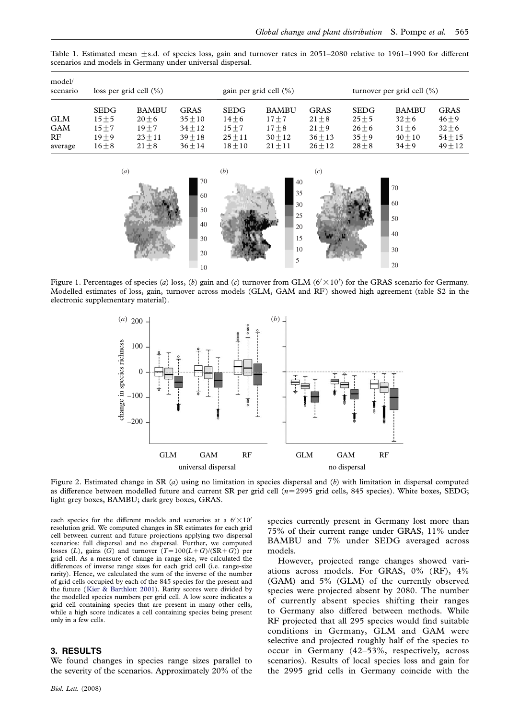| model/<br>scenario                        | loss per grid cell $(\%)$                                   |                                                               |                                                                 | gain per grid cell $(\% )$                                    |                                                                |                                                        | turnover per grid cell $(\%)$                               |                                                               |                                                               |
|-------------------------------------------|-------------------------------------------------------------|---------------------------------------------------------------|-----------------------------------------------------------------|---------------------------------------------------------------|----------------------------------------------------------------|--------------------------------------------------------|-------------------------------------------------------------|---------------------------------------------------------------|---------------------------------------------------------------|
| <b>GLM</b><br><b>GAM</b><br>RF<br>average | <b>SEDG</b><br>$15 + 5$<br>$15 + 7$<br>$19 + 9$<br>$16 + 8$ | <b>BAMBU</b><br>$20 + 6$<br>$19 + 7$<br>$23 + 11$<br>$21 + 8$ | <b>GRAS</b><br>$35 + 10$<br>$34 + 12$<br>$39 + 18$<br>$36 + 14$ | <b>SEDG</b><br>$14 + 6$<br>$15 + 7$<br>$25 + 11$<br>$18 + 10$ | <b>BAMBU</b><br>$17 + 7$<br>$17 + 8$<br>$30 + 12$<br>$21 + 11$ | GRAS<br>$21 + 8$<br>$21 + 9$<br>$36 + 13$<br>$26 + 12$ | <b>SEDG</b><br>$25 + 5$<br>$26 + 6$<br>$35 + 9$<br>$28 + 8$ | <b>BAMBU</b><br>$32 + 6$<br>$31 + 6$<br>$40 + 10$<br>$34 + 9$ | <b>GRAS</b><br>$46 + 9$<br>$32 + 6$<br>$54 + 15$<br>$49 + 12$ |

<span id="page-1-0"></span>Table 1. Estimated mean  $\pm$ s.d. of species loss, gain and turnover rates in 2051–2080 relative to 1961–1990 for different scenarios and models in Germany under universal dispersal.



Figure 1. Percentages of species (a) loss, (b) gain and (c) turnover from GLM ( $6' \times 10'$ ) for the GRAS scenario for Germany. Modelled estimates of loss, gain, turnover across models (GLM, GAM and RF) showed high agreement (table S2 in the electronic supplementary material).



Figure 2. Estimated change in SR (a) using no limitation in species dispersal and (b) with limitation in dispersal computed as difference between modelled future and current SR per grid cell  $(n=2995$  grid cells, 845 species). White boxes, SEDG; light grey boxes, BAMBU; dark grey boxes, GRAS.

each species for the different models and scenarios at a  $6' \times 10'$ resolution grid. We computed changes in SR estimates for each grid cell between current and future projections applying two dispersal scenarios: full dispersal and no dispersal. Further, we computed losses (L), gains (G) and turnover  $(T=100(L+G)/(SR+G))$  per grid cell. As a measure of change in range size, we calculated the differences of inverse range sizes for each grid cell (i.e. range-size rarity). Hence, we calculated the sum of the inverse of the number of grid cells occupied by each of the 845 species for the present and the future ([Kier & Barthlott 2001](#page-2-0)). Rarity scores were divided by the modelled species numbers per grid cell. A low score indicates a grid cell containing species that are present in many other cells, while a high score indicates a cell containing species being present only in a few cells.

## 3. RESULTS

We found changes in species range sizes parallel to the severity of the scenarios. Approximately 20% of the

Biol. Lett. (2008)

species currently present in Germany lost more than 75% of their current range under GRAS, 11% under BAMBU and 7% under SEDG averaged across models.

However, projected range changes showed variations across models. For GRAS, 0% (RF), 4% (GAM) and 5% (GLM) of the currently observed species were projected absent by 2080. The number of currently absent species shifting their ranges to Germany also differed between methods. While RF projected that all 295 species would find suitable conditions in Germany, GLM and GAM were selective and projected roughly half of the species to occur in Germany (42–53%, respectively, across scenarios). Results of local species loss and gain for the 2995 grid cells in Germany coincide with the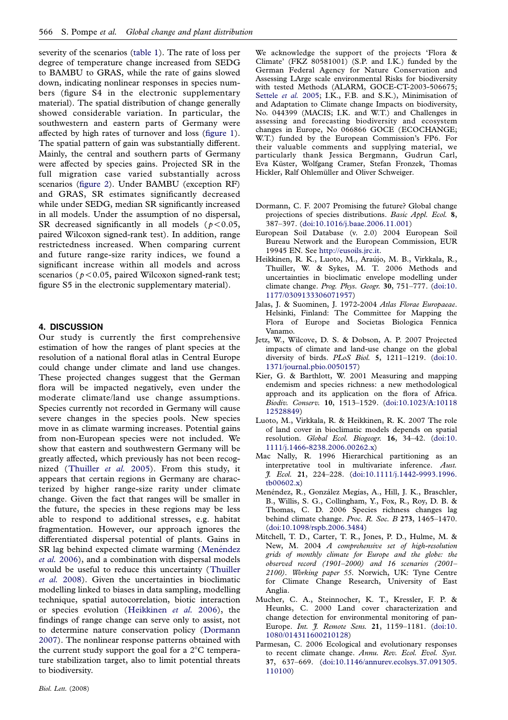<span id="page-2-0"></span>severity of the scenarios [\(table 1\)](#page-1-0). The rate of loss per degree of temperature change increased from SEDG to BAMBU to GRAS, while the rate of gains slowed down, indicating nonlinear responses in species numbers (figure S4 in the electronic supplementary material). The spatial distribution of change generally showed considerable variation. In particular, the southwestern and eastern parts of Germany were affected by high rates of turnover and loss ([figure 1\)](#page-1-0). The spatial pattern of gain was substantially different. Mainly, the central and southern parts of Germany were affected by species gains. Projected SR in the full migration case varied substantially across scenarios [\(figure 2\)](#page-1-0). Under BAMBU (exception RF) and GRAS, SR estimates significantly decreased while under SEDG, median SR significantly increased in all models. Under the assumption of no dispersal, SR decreased significantly in all models ( $p < 0.05$ , paired Wilcoxon signed-rank test). In addition, range restrictedness increased. When comparing current and future range-size rarity indices, we found a significant increase within all models and across scenarios ( $p < 0.05$ , paired Wilcoxon signed-rank test; figure S5 in the electronic supplementary material).

## 4. DISCUSSION

Our study is currently the first comprehensive estimation of how the ranges of plant species at the resolution of a national floral atlas in Central Europe could change under climate and land use changes. These projected changes suggest that the German flora will be impacted negatively, even under the moderate climate/land use change assumptions. Species currently not recorded in Germany will cause severe changes in the species pools. New species move in as climate warming increases. Potential gains from non-European species were not included. We show that eastern and southwestern Germany will be greatly affected, which previously has not been recognized ([Thuiller](#page-3-0) et al. 2005). From this study, it appears that certain regions in Germany are characterized by higher range-size rarity under climate change. Given the fact that ranges will be smaller in the future, the species in these regions may be less able to respond to additional stresses, e.g. habitat fragmentation. However, our approach ignores the differentiated dispersal potential of plants. Gains in SR lag behind expected climate warming (Menéndez et al. 2006), and a combination with dispersal models would be useful to reduce this uncertainty ([Thuiller](#page-3-0) [et al.](#page-3-0) 2008). Given the uncertainties in bioclimatic modelling linked to biases in data sampling, modelling technique, spatial autocorrelation, biotic interaction or species evolution (Heikkinen et al. 2006), the findings of range change can serve only to assist, not to determine nature conservation policy (Dormann 2007). The nonlinear response patterns obtained with the current study support the goal for a  $2^{\circ}$ C temperature stabilization target, also to limit potential threats to biodiversity.

We acknowledge the support of the projects 'Flora & Climate' (FKZ 80581001) (S.P. and I.K.) funded by the German Federal Agency for Nature Conservation and Assessing LArge scale environmental Risks for biodiversity with tested Methods (ALARM, GOCE-CT-2003-506675; [Settele](#page-3-0) et al. 2005; I.K., F.B. and S.K.), Minimisation of and Adaptation to Climate change Impacts on biodiversity, No. 044399 (MACIS; I.K. and W.T.) and Challenges in assessing and forecasting biodiversity and ecosystem changes in Europe, No 066866 GOCE (ECOCHANGE; W.T.) funded by the European Commission's FP6. For their valuable comments and supplying material, we particularly thank Jessica Bergmann, Gudrun Carl, Eva Küster, Wolfgang Cramer, Stefan Fronzek, Thomas Hickler, Ralf Ohlemüller and Oliver Schweiger.

- Dormann, C. F. 2007 Promising the future? Global change projections of species distributions. Basic Appl. Ecol. 8, 387–397. [\(doi:10.1016/j.baae.2006.11.001](http://dx.doi.org/doi:10.1016/j.baae.2006.11.001))
- European Soil Database (v. 2.0) 2004 European Soil Bureau Network and the European Commission, EUR 19945 EN. See [http://eusoils.jrc.it](http://hhtp://eusoils.jrc.it).
- Heikkinen, R. K., Luoto, M., Arau´jo, M. B., Virkkala, R., Thuiller, W. & Sykes, M. T. 2006 Methods and uncertainties in bioclimatic envelope modelling under climate change. Prog. Phys. Geogr. 30, 751–777. ([doi:10.](http://dx.doi.org/doi:10.1177/0309133306071957) [1177/0309133306071957\)](http://dx.doi.org/doi:10.1177/0309133306071957)
- Jalas, J. & Suominen, J. 1972-2004 Atlas Florae Europaeae. Helsinki, Finland: The Committee for Mapping the Flora of Europe and Societas Biologica Fennica Vanamo.
- Jetz, W., Wilcove, D. S. & Dobson, A. P. 2007 Projected impacts of climate and land-use change on the global diversity of birds. PLoS Biol. 5, 1211–1219. ([doi:10.](http://dx.doi.org/doi:10.1371/journal.pbio.0050157) [1371/journal.pbio.0050157](http://dx.doi.org/doi:10.1371/journal.pbio.0050157))
- Kier, G. & Barthlott, W. 2001 Measuring and mapping endemism and species richness: a new methodological approach and its application on the flora of Africa. Biodiv. Conserv. 10, 1513–1529. ([doi:10.1023/A:10118](http://dx.doi.org/doi:10.1023/A:1011812528849) [12528849\)](http://dx.doi.org/doi:10.1023/A:1011812528849)
- Luoto, M., Virkkala, R. & Heikkinen, R. K. 2007 The role of land cover in bioclimatic models depends on spatial resolution. Global Ecol. Biogeogr. 16, 34-42. ([doi:10.](http://dx.doi.org/doi:10.1111/j.1466-8238.2006.00262.x) [1111/j.1466-8238.2006.00262.x](http://dx.doi.org/doi:10.1111/j.1466-8238.2006.00262.x))
- Mac Nally, R. 1996 Hierarchical partitioning as an interpretative tool in multivariate inference. Aust. J. Ecol. 21, 224–228. ([doi:10.1111/j.1442-9993.1996.](http://dx.doi.org/doi:10.1111/j.1442-9993.1996.tb00602.x) [tb00602.x](http://dx.doi.org/doi:10.1111/j.1442-9993.1996.tb00602.x))
- Menéndez, R., González Megías, A., Hill, J. K., Braschler, B., Willis, S. G., Collingham, Y., Fox, R., Roy, D. B. & Thomas, C. D. 2006 Species richness changes lag behind climate change. Proc. R. Soc. B 273, 1465–1470. ([doi:10.1098/rspb.2006.3484](http://dx.doi.org/doi:10.1098/rspb.2006.3484))
- Mitchell, T. D., Carter, T. R., Jones, P. D., Hulme, M. & New, M. 2004 A comprehensive set of high-resolution grids of monthly climate for Europe and the globe: the observed record (1901–2000) and 16 scenarios (2001– 2100). Working paper 55. Norwich, UK: Tyne Centre for Climate Change Research, University of East Anglia.
- Mucher, C. A., Steinnocher, K. T., Kressler, F. P. & Heunks, C. 2000 Land cover characterization and change detection for environmental monitoring of pan-Europe. Int. *J. Remote Sens.* 21, 1159-1181. ([doi:10.](http://dx.doi.org/doi:10.1080/014311600210128) [1080/014311600210128\)](http://dx.doi.org/doi:10.1080/014311600210128)
- Parmesan, C. 2006 Ecological and evolutionary responses to recent climate change. Annu. Rev. Ecol. Evol. Syst. 37, 637–669. ([doi:10.1146/annurev.ecolsys.37.091305.](http://dx.doi.org/doi:10.1146/annurev.ecolsys.37.091305.110100) [110100](http://dx.doi.org/doi:10.1146/annurev.ecolsys.37.091305.110100))